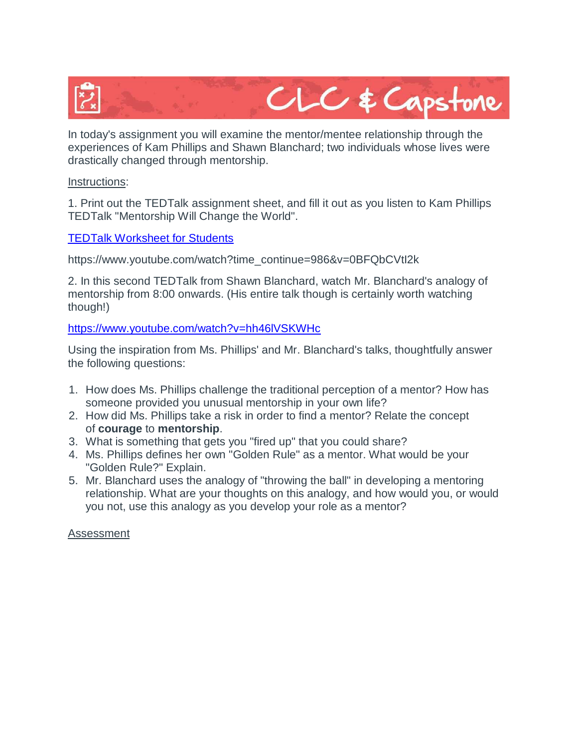

In today's assignment you will examine the mentor/mentee relationship through the experiences of Kam Phillips and Shawn Blanchard; two individuals whose lives were drastically changed through mentorship.

## Instructions:

1. Print out the TEDTalk assignment sheet, and fill it out as you listen to Kam Phillips TEDTalk "Mentorship Will Change the World".

## [TEDTalk Worksheet for Students](https://comoxvalleyschools.instructure.com/courses/856/files/403062/download?verifier=H0kHGrNWi97CW12y0DfHXEsZI5k0rpp2TJrsVkpG&wrap=1)

https://www.youtube.com/watch?time\_continue=986&v=0BFQbCVtI2k

2. In this second TEDTalk from Shawn Blanchard, watch Mr. Blanchard's analogy of mentorship from 8:00 onwards. (His entire talk though is certainly worth watching though!)

<https://www.youtube.com/watch?v=hh46lVSKWHc>

Using the inspiration from Ms. Phillips' and Mr. Blanchard's talks, thoughtfully answer the following questions:

- 1. How does Ms. Phillips challenge the traditional perception of a mentor? How has someone provided you unusual mentorship in your own life?
- 2. How did Ms. Phillips take a risk in order to find a mentor? Relate the concept of **courage** to **mentorship**.
- 3. What is something that gets you "fired up" that you could share?
- 4. Ms. Phillips defines her own "Golden Rule" as a mentor. What would be your "Golden Rule?" Explain.
- 5. Mr. Blanchard uses the analogy of "throwing the ball" in developing a mentoring relationship. What are your thoughts on this analogy, and how would you, or would you not, use this analogy as you develop your role as a mentor?

## Assessment